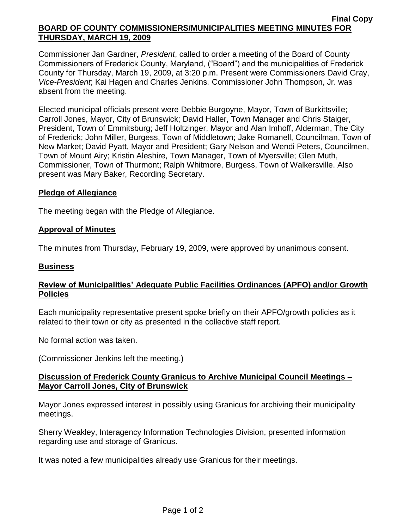### **Final Copy BOARD OF COUNTY COMMISSIONERS/MUNICIPALITIES MEETING MINUTES FOR THURSDAY, MARCH 19, 2009**

Commissioner Jan Gardner, *President*, called to order a meeting of the Board of County Commissioners of Frederick County, Maryland, ("Board") and the municipalities of Frederick County for Thursday, March 19, 2009, at 3:20 p.m. Present were Commissioners David Gray, *Vice-President*; Kai Hagen and Charles Jenkins*.* Commissioner John Thompson, Jr. was absent from the meeting.

Elected municipal officials present were Debbie Burgoyne, Mayor, Town of Burkittsville; Carroll Jones, Mayor, City of Brunswick; David Haller, Town Manager and Chris Staiger, President, Town of Emmitsburg; Jeff Holtzinger, Mayor and Alan Imhoff, Alderman, The City of Frederick; John Miller, Burgess, Town of Middletown; Jake Romanell, Councilman, Town of New Market; David Pyatt, Mayor and President; Gary Nelson and Wendi Peters, Councilmen, Town of Mount Airy; Kristin Aleshire, Town Manager, Town of Myersville; Glen Muth, Commissioner, Town of Thurmont; Ralph Whitmore, Burgess, Town of Walkersville. Also present was Mary Baker, Recording Secretary.

## **Pledge of Allegiance**

The meeting began with the Pledge of Allegiance.

## **Approval of Minutes**

The minutes from Thursday, February 19, 2009, were approved by unanimous consent.

### **Business**

## **Review of Municipalities' Adequate Public Facilities Ordinances (APFO) and/or Growth Policies**

Each municipality representative present spoke briefly on their APFO/growth policies as it related to their town or city as presented in the collective staff report.

No formal action was taken.

(Commissioner Jenkins left the meeting.)

## **Discussion of Frederick County Granicus to Archive Municipal Council Meetings – Mayor Carroll Jones, City of Brunswick**

Mayor Jones expressed interest in possibly using Granicus for archiving their municipality meetings.

Sherry Weakley, Interagency Information Technologies Division, presented information regarding use and storage of Granicus.

It was noted a few municipalities already use Granicus for their meetings.